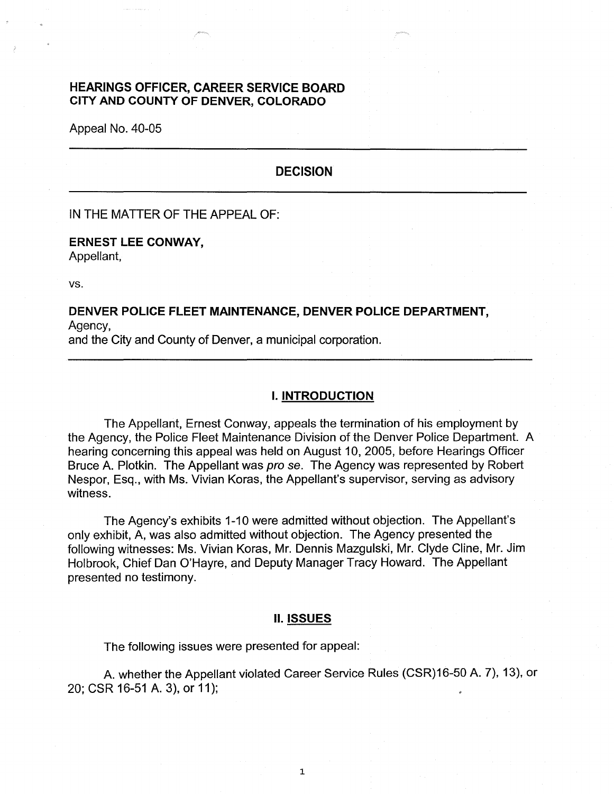### **HEARINGS OFFICER, CAREER SERVICE BOARD CITY AND COUNTY OF DENVER, COLORADO**

Appeal No. 40-05

# **DECISION**

IN THE MATTER OF THE APPEAL OF:

### **ERNEST LEE CONWAY,**  Appellant,

vs.

### **DENVER POLICE FLEET MAINTENANCE, DENVER POLICE DEPARTMENT,**  Agency,

and the City and County of Denver, a municipal corporation.

#### I. **INTRODUCTION**

The Appellant, Ernest Conway, appeals the termination of his employment by the Agency, the Police Fleet Maintenance Division of the Denver Police Department. A hearing concerning this appeal was held on August 10, 2005, before Hearings Officer Bruce A. Plotkin. The Appellant was pro se. The Agency was represented by Robert Nespor, Esq., with Ms. Vivian Koras, the Appellant's supervisor, serving as advisory witness.

The Agency's exhibits 1-10 were admitted without objection. The Appellant's only exhibit, A, was also admitted without objection. The Agency presented the following witnesses: Ms. Vivian Koras, Mr. Dennis Mazgulski, Mr. Clyde Cline, Mr. Jim Holbrook, Chief Dan O'Hayre, and Deputy Manager Tracy Howard. The Appellant presented no testimony.

#### II. **ISSUES**

The following issues were presented for appeal:

A. whether the Appellant violated Career Service Rules (CSR)16-50 A. 7), 13), or 20; CSR 16-51 A. 3), or 11 );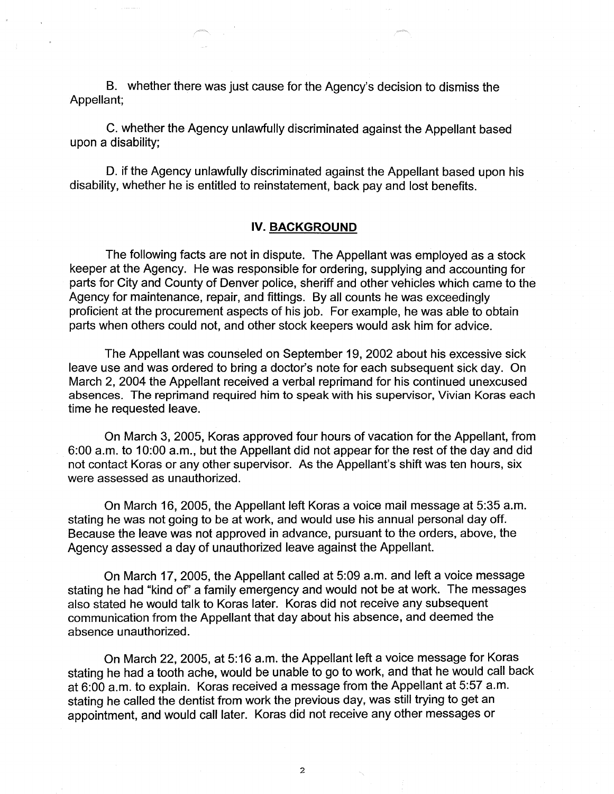B. whether there was just cause for the Agency's decision to dismiss the Appellant;

C. whether the Agency unlawfully discriminated against the Appellant based upon a disability;

D. if the Agency unlawfully discriminated against the Appellant based upon his disability, whether he is entitled to reinstatement, back pay and lost benefits.

### **IV. BACKGROUND**

The following facts are not in dispute. The Appellant was employed as a stock keeper at the Agency. He was responsible for ordering, supplying and accounting for parts for City and County of Denver police, sheriff and other vehicles which came to the Agency for maintenance, repair, and fittings. By all counts he was exceedingly proficient at the procurement aspects of his job. For example, he was able to obtain parts when others could not, and other stock keepers would ask him for advice.

The Appellant was counseled on September 19, 2002 about his excessive sick leave use and was ordered to bring a doctor's note for each subsequent sick day. On March 2, 2004 the Appellant received a verbal reprimand for his continued unexcused absences. The reprimand required him to speak with his supervisor, Vivian Koras each time he requested leave.

On March 3, 2005, Koras approved four hours of vacation for the Appellant, from 6:00 a.m. to 10:00 a.m., but the Appellant did not appear for the rest of the day and did not contact Koras or any other supervisor. As the Appellant's shift was ten hours, six were assessed as unauthorized.

On March 16, 2005, the Appellant left Koras a voice mail message at 5:35 a.m. stating he was not going to be at work, and would use his annual personal day off. Because the leave was not approved in advance, pursuant to the orders, above, the Agency assessed a day of unauthorized leave against the Appellant.

On March 17, 2005, the Appellant called at 5:09 a.m. and left a voice message stating he had "kind of' a family emergency and would not be at work. The messages also stated he would talk to Koras later. Koras did not receive any subsequent communication from the Appellant that day about his absence, and deemed the absence unauthorized.

On March 22, 2005, at 5:16 a.m. the Appellant left a voice message for Koras stating he had a tooth ache, would be unable to go to work, and that he would call back at 6:00 a.m. to explain. Koras received a message from the Appellant at 5:57 a.m. stating he called the dentist from work the previous day, was still trying to get an appointment, and would call later. Koras did not receive any other messages or

2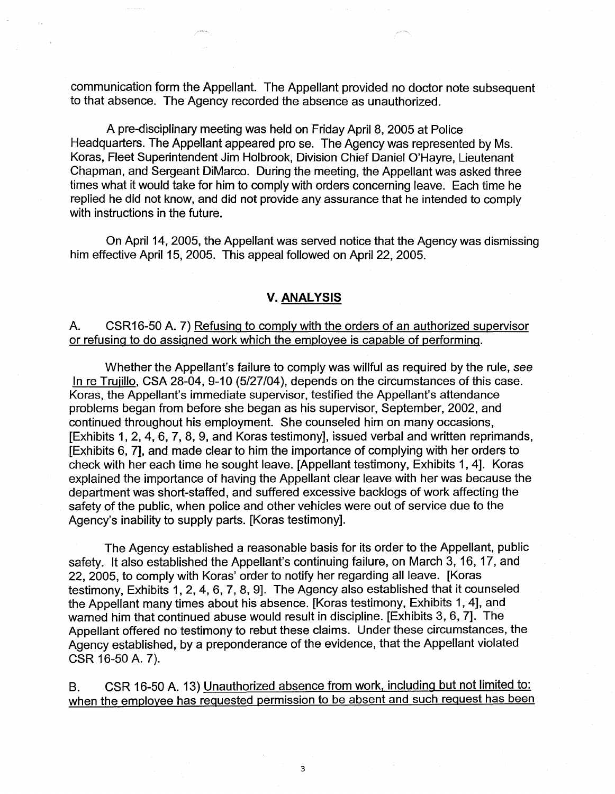communication form the Appellant. The Appellant provided no doctor note subsequent to that absence. The Agency recorded the absence as unauthorized.

A pre-disciplinary meeting was held on Friday April 8, 2005 at Police Headquarters. The Appellant appeared pro se. The Agency was represented by Ms. Koras, Fleet Superintendent Jim Holbrook, Division Chief Daniel O'Hayre, Lieutenant Chapman, and Sergeant DiMarco. During the meeting, the Appellant was asked three times what it would take for him to comply with orders concerning leave. Each time he replied he did not know, and did not provide any assurance that he intended to comply with instructions in the future.

On April 14, 2005, the Appellant was served notice that the Agency was dismissing him effective April 15, 2005. This appeal followed on April 22, 2005.

### **V. ANALYSIS**

## A. CSR16-50 A. 7) Refusing to comply with the orders of an authorized supervisor or refusing to do assigned work which the employee is capable of performing.

Whether the Appellant's failure to comply was willful as required by the rule, *see*  In re Trujillo, CSA 28-04, 9-10 (5/27/04), depends on the circumstances of this case. Karas, the Appellant's immediate supervisor, testified the Appellant's attendance problems began from before she began as his supervisor, September, 2002, and continued throughout his employment. She counseled him on many occasions, [Exhibits 1, 2, 4, 6, 7, 8, 9, and Koras testimony], issued verbal and written reprimands, [Exhibits 6, 7], and made clear to him the importance of complying with her orders to check with her each time he sought leave. [Appellant testimony, Exhibits 1, 4]. Koras explained the importance of having the Appellant clear leave with her was because the department was short-staffed, and suffered excessive backlogs of work affecting the safety of the public, when police and other vehicles were out of service due to the Agency's inability to supply parts. [Koras testimony].

The Agency established a reasonable basis for its order to the Appellant, public safety. It also established the Appellant's continuing failure, on March 3, 16, 17, and 22, 2005, to comply with Koras' order to notify her regarding all leave. [Koras testimony, Exhibits 1, 2, 4, 6, 7, 8, 9]. The Agency also established that it counseled the Appellant many times about his absence. [Koras testimony, Exhibits 1, 4], and warned him that continued abuse would result in discipline. [Exhibits 3, 6, 7]. The Appellant offered no testimony to rebut these claims. Under these circumstances, the Agency established, by a preponderance of the evidence, that the Appellant violated CSR 16-50 A. 7).

B. CSR 16-50 A. 13) Unauthorized absence from work, including but not limited to: when the employee has requested permission to be absent and such request has been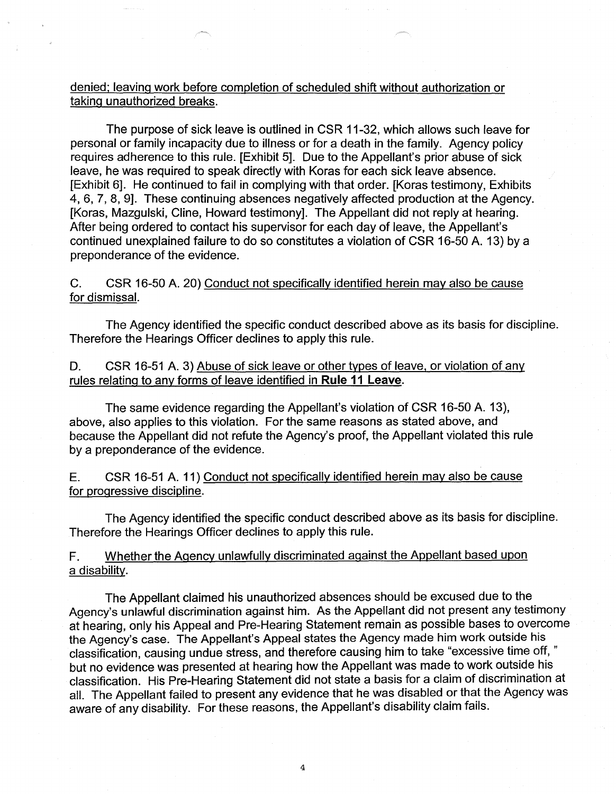## denied; leaving work before completion of scheduled shift without authorization or taking unauthorized breaks.

The purpose of sick leave is outlined in CSR 11-32, which allows such leave for personal or family incapacity due to illness or for a death in the family. Agency policy requires adherence to this rule. [Exhibit 5]. Due to the Appellant's prior abuse of sick leave, he was required to speak directly with Koras for each sick leave absence. [Exhibit 6]. He continued to fail in complying with that order. [Koras testimony, Exhibits] 4, 6, 7, 8, 9]. These continuing absences negatively affected production at the Agency. [Koras, Mazgulski, Cline, Howard testimony]. The Appellant did not reply at hearing. After being ordered to contact his supervisor for each day of leave, the Appellant's continued unexplained failure to do so constitutes a violation of CSR 16-50 A. 13) by a preponderance of the evidence.

C. CSR 16-50 A. 20) Conduct not specifically identified herein may also be cause for dismissal.

The Agency identified the specific conduct described above as its basis for discipline. Therefore the Hearings Officer declines to apply this rule.

D. CSR 16-51 A. 3) Abuse of sick leave or other types of leave, or violation of any rules relating to any forms of leave identified in **Rule 11 Leave.** 

The same evidence regarding the Appellant's violation of CSR 16-50 A. 13), above, also applies to this violation. For the same reasons as stated above, and because the Appellant did not refute the Agency's proof, the Appellant violated this rule by a preponderance of the evidence.

E. CSR 16-51 A. 11) Conduct not specifically identified herein may also be cause for progressive discipline.

The Agency identified the specific conduct described above as its basis for discipline. Therefore the Hearings Officer declines to apply this rule.

F. Whether the Agency unlawfully discriminated against the Appellant based upon a disability.

The Appellant claimed his unauthorized absences should be excused due to the Agency's unlawful discrimination against him. As the Appellant did not present any testimony at hearing, only his Appeal and Pre-Hearing Statement remain as possible bases to overcome the Agency's case. The Appellant's Appeal states the Agency made him work outside his classification, causing undue stress, and therefore causing him to take "excessive time off, " but no evidence was presented at hearing how the Appellant was made to work outside his classification. His Pre-Hearing Statement did not state a basis for a claim of discrimination at all. The Appellant failed to present any evidence that he was disabled or that the Agency was aware of any disability. For these reasons, the Appellant's disability claim fails.